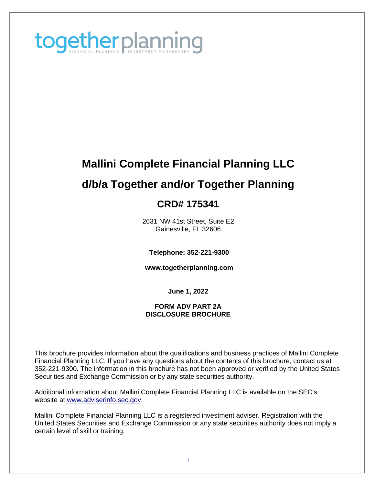

# **Mallini Complete Financial Planning LLC d/b/a Together and/or Together Planning CRD# 175341**

# 2631 NW 41st Street, Suite E2

Gainesville, FL 32606

**Telephone: 352-221-9300**

**[www.togetherplanning.com](http://www.togetherplanning.com/#_blank)**

**June 1, 2022**

#### **FORM ADV PART 2A DISCLOSURE BROCHURE**

This brochure provides information about the qualifications and business practices of Mallini Complete Financial Planning LLC. If you have any questions about the contents of this brochure, contact us at 352-221-9300. The information in this brochure has not been approved or verified by the United States Securities and Exchange Commission or by any state securities authority.

Additional information about Mallini Complete Financial Planning LLC is available on the SEC's website at [www.adviserinfo.sec.gov.](http://www.adviserinfo.sec.gov/#_blank)

Mallini Complete Financial Planning LLC is a registered investment adviser. Registration with the United States Securities and Exchange Commission or any state securities authority does not imply a certain level of skill or training.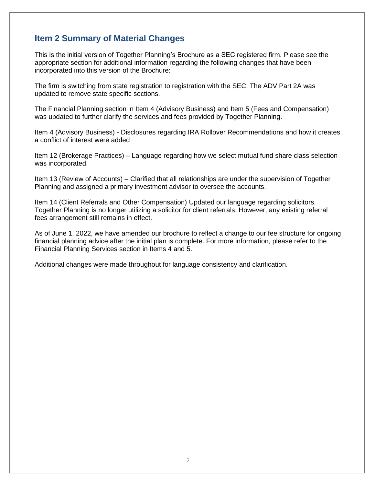### <span id="page-1-0"></span>**Item 2 Summary of Material Changes**

This is the initial version of Together Planning's Brochure as a SEC registered firm. Please see the appropriate section for additional information regarding the following changes that have been incorporated into this version of the Brochure:

The firm is switching from state registration to registration with the SEC. The ADV Part 2A was updated to remove state specific sections.

The Financial Planning section in Item 4 (Advisory Business) and Item 5 (Fees and Compensation) was updated to further clarify the services and fees provided by Together Planning.

Item 4 (Advisory Business) - Disclosures regarding IRA Rollover Recommendations and how it creates a conflict of interest were added

Item 12 (Brokerage Practices) – Language regarding how we select mutual fund share class selection was incorporated.

Item 13 (Review of Accounts) – Clarified that all relationships are under the supervision of Together Planning and assigned a primary investment advisor to oversee the accounts.

Item 14 (Client Referrals and Other Compensation) Updated our language regarding solicitors. Together Planning is no longer utilizing a solicitor for client referrals. However, any existing referral fees arrangement still remains in effect.

As of June 1, 2022, we have amended our brochure to reflect a change to our fee structure for ongoing financial planning advice after the initial plan is complete. For more information, please refer to the Financial Planning Services section in Items 4 and 5.

Additional changes were made throughout for language consistency and clarification.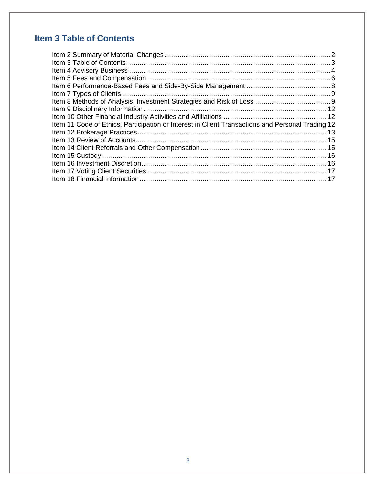# <span id="page-2-0"></span>**Item 3 Table of Contents**

| Item 11 Code of Ethics, Participation or Interest in Client Transactions and Personal Trading 12 |  |
|--------------------------------------------------------------------------------------------------|--|
|                                                                                                  |  |
|                                                                                                  |  |
|                                                                                                  |  |
|                                                                                                  |  |
|                                                                                                  |  |
|                                                                                                  |  |
|                                                                                                  |  |
|                                                                                                  |  |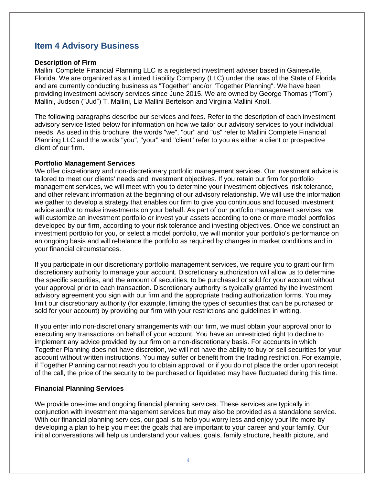### <span id="page-3-0"></span>**Item 4 Advisory Business**

#### **Description of Firm**

Mallini Complete Financial Planning LLC is a registered investment adviser based in Gainesville, Florida. We are organized as a Limited Liability Company (LLC) under the laws of the State of Florida and are currently conducting business as "Together" and/or "Together Planning". We have been providing investment advisory services since June 2015. We are owned by George Thomas ("Tom") Mallini, Judson ("Jud") T. Mallini, Lia Mallini Bertelson and Virginia Mallini Knoll.

The following paragraphs describe our services and fees. Refer to the description of each investment advisory service listed below for information on how we tailor our advisory services to your individual needs. As used in this brochure, the words "we", "our" and "us" refer to Mallini Complete Financial Planning LLC and the words "you", "your" and "client" refer to you as either a client or prospective client of our firm.

#### **Portfolio Management Services**

We offer discretionary and non-discretionary portfolio management services. Our investment advice is tailored to meet our clients' needs and investment objectives. If you retain our firm for portfolio management services, we will meet with you to determine your investment objectives, risk tolerance, and other relevant information at the beginning of our advisory relationship. We will use the information we gather to develop a strategy that enables our firm to give you continuous and focused investment advice and/or to make investments on your behalf. As part of our portfolio management services, we will customize an investment portfolio or invest your assets according to one or more model portfolios developed by our firm, according to your risk tolerance and investing objectives. Once we construct an investment portfolio for you, or select a model portfolio, we will monitor your portfolio's performance on an ongoing basis and will rebalance the portfolio as required by changes in market conditions and in your financial circumstances.

If you participate in our discretionary portfolio management services, we require you to grant our firm discretionary authority to manage your account. Discretionary authorization will allow us to determine the specific securities, and the amount of securities, to be purchased or sold for your account without your approval prior to each transaction. Discretionary authority is typically granted by the investment advisory agreement you sign with our firm and the appropriate trading authorization forms. You may limit our discretionary authority (for example, limiting the types of securities that can be purchased or sold for your account) by providing our firm with your restrictions and guidelines in writing.

If you enter into non-discretionary arrangements with our firm, we must obtain your approval prior to executing any transactions on behalf of your account. You have an unrestricted right to decline to implement any advice provided by our firm on a non-discretionary basis. For accounts in which Together Planning does not have discretion, we will not have the ability to buy or sell securities for your account without written instructions. You may suffer or benefit from the trading restriction. For example, if Together Planning cannot reach you to obtain approval, or if you do not place the order upon receipt of the call, the price of the security to be purchased or liquidated may have fluctuated during this time.

#### **Financial Planning Services**

We provide one-time and ongoing financial planning services. These services are typically in conjunction with investment management services but may also be provided as a standalone service. With our financial planning services, our goal is to help you worry less and enjoy your life more by developing a plan to help you meet the goals that are important to your career and your family. Our initial conversations will help us understand your values, goals, family structure, health picture, and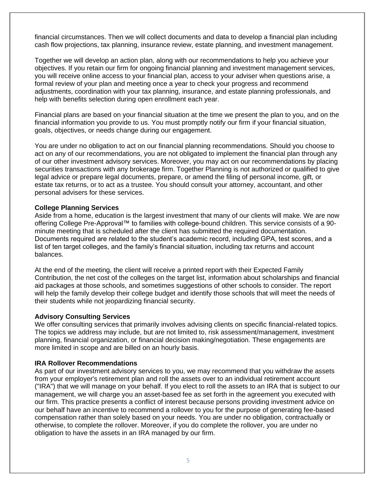financial circumstances. Then we will collect documents and data to develop a financial plan including cash flow projections, tax planning, insurance review, estate planning, and investment management.

Together we will develop an action plan, along with our recommendations to help you achieve your objectives. If you retain our firm for ongoing financial planning and investment management services, you will receive online access to your financial plan, access to your adviser when questions arise, a formal review of your plan and meeting once a year to check your progress and recommend adjustments, coordination with your tax planning, insurance, and estate planning professionals, and help with benefits selection during open enrollment each year.

Financial plans are based on your financial situation at the time we present the plan to you, and on the financial information you provide to us. You must promptly notify our firm if your financial situation, goals, objectives, or needs change during our engagement.

You are under no obligation to act on our financial planning recommendations. Should you choose to act on any of our recommendations, you are not obligated to implement the financial plan through any of our other investment advisory services. Moreover, you may act on our recommendations by placing securities transactions with any brokerage firm. Together Planning is not authorized or qualified to give legal advice or prepare legal documents, prepare, or amend the filing of personal income, gift, or estate tax returns, or to act as a trustee. You should consult your attorney, accountant, and other personal advisers for these services.

#### **College Planning Services**

Aside from a home, education is the largest investment that many of our clients will make. We are now offering College Pre-Approval™ to families with college-bound children. This service consists of a 90 minute meeting that is scheduled after the client has submitted the required documentation. Documents required are related to the student's academic record, including GPA, test scores, and a list of ten target colleges, and the family's financial situation, including tax returns and account balances.

At the end of the meeting, the client will receive a printed report with their Expected Family Contribution, the net cost of the colleges on the target list, information about scholarships and financial aid packages at those schools, and sometimes suggestions of other schools to consider. The report will help the family develop their college budget and identify those schools that will meet the needs of their students while not jeopardizing financial security.

#### **Advisory Consulting Services**

We offer consulting services that primarily involves advising clients on specific financial-related topics. The topics we address may include, but are not limited to, risk assessment/management, investment planning, financial organization, or financial decision making/negotiation. These engagements are more limited in scope and are billed on an hourly basis.

#### **IRA Rollover Recommendations**

As part of our investment advisory services to you, we may recommend that you withdraw the assets from your employer's retirement plan and roll the assets over to an individual retirement account ("IRA") that we will manage on your behalf. If you elect to roll the assets to an IRA that is subject to our management, we will charge you an asset-based fee as set forth in the agreement you executed with our firm. This practice presents a conflict of interest because persons providing investment advice on our behalf have an incentive to recommend a rollover to you for the purpose of generating fee-based compensation rather than solely based on your needs. You are under no obligation, contractually or otherwise, to complete the rollover. Moreover, if you do complete the rollover, you are under no obligation to have the assets in an IRA managed by our firm.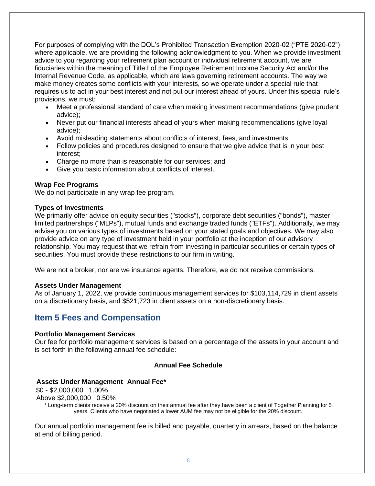For purposes of complying with the DOL's Prohibited Transaction Exemption 2020-02 ("PTE 2020-02") where applicable, we are providing the following acknowledgment to you. When we provide investment advice to you regarding your retirement plan account or individual retirement account, we are fiduciaries within the meaning of Title I of the Employee Retirement Income Security Act and/or the Internal Revenue Code, as applicable, which are laws governing retirement accounts. The way we make money creates some conflicts with your interests, so we operate under a special rule that requires us to act in your best interest and not put our interest ahead of yours. Under this special rule's provisions, we must:

- Meet a professional standard of care when making investment recommendations (give prudent advice);
- Never put our financial interests ahead of yours when making recommendations (give loyal advice);
- Avoid misleading statements about conflicts of interest, fees, and investments;
- Follow policies and procedures designed to ensure that we give advice that is in your best interest;
- Charge no more than is reasonable for our services; and
- Give you basic information about conflicts of interest.

#### **Wrap Fee Programs**

We do not participate in any wrap fee program.

#### **Types of Investments**

We primarily offer advice on equity securities ("stocks"), corporate debt securities ("bonds"), master limited partnerships ("MLPs"), mutual funds and exchange traded funds ("ETFs"). Additionally, we may advise you on various types of investments based on your stated goals and objectives. We may also provide advice on any type of investment held in your portfolio at the inception of our advisory relationship. You may request that we refrain from investing in particular securities or certain types of securities. You must provide these restrictions to our firm in writing.

We are not a broker, nor are we insurance agents. Therefore, we do not receive commissions.

#### **Assets Under Management**

As of January 1, 2022, we provide continuous management services for \$103,114,729 in client assets on a discretionary basis, and \$521,723 in client assets on a non-discretionary basis.

### <span id="page-5-0"></span>**Item 5 Fees and Compensation**

#### **Portfolio Management Services**

Our fee for portfolio management services is based on a percentage of the assets in your account and is set forth in the following annual fee schedule:

#### **Annual Fee Schedule**

#### **Assets Under Management Annual Fee\***

\$0 - \$2,000,000 1.00%

Above \$2,000,000 0.50%

\* Long-term clients receive a 20% discount on their annual fee after they have been a client of Together Planning for 5 years. Clients who have negotiated a lower AUM fee may not be eligible for the 20% discount.

Our annual portfolio management fee is billed and payable, quarterly in arrears, based on the balance at end of billing period.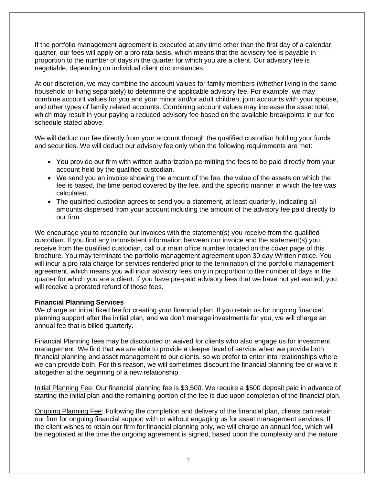If the portfolio management agreement is executed at any time other than the first day of a calendar quarter, our fees will apply on a pro rata basis, which means that the advisory fee is payable in proportion to the number of days in the quarter for which you are a client. Our advisory fee is negotiable, depending on individual client circumstances.

At our discretion, we may combine the account values for family members (whether living in the same household or living separately) to determine the applicable advisory fee. For example, we may combine account values for you and your minor and/or adult children, joint accounts with your spouse, and other types of family related accounts. Combining account values may increase the asset total, which may result in your paying a reduced advisory fee based on the available breakpoints in our fee schedule stated above.

We will deduct our fee directly from your account through the qualified custodian holding your funds and securities. We will deduct our advisory fee only when the following requirements are met:

- You provide our firm with written authorization permitting the fees to be paid directly from your account held by the qualified custodian.
- We send you an invoice showing the amount of the fee, the value of the assets on which the fee is based, the time period covered by the fee, and the specific manner in which the fee was calculated.
- The qualified custodian agrees to send you a statement, at least quarterly, indicating all amounts dispersed from your account including the amount of the advisory fee paid directly to our firm.

We encourage you to reconcile our invoices with the statement(s) you receive from the qualified custodian. If you find any inconsistent information between our invoice and the statement(s) you receive from the qualified custodian, call our main office number located on the cover page of this brochure. You may terminate the portfolio management agreement upon 30 day Written notice. You will incur a pro rata charge for services rendered prior to the termination of the portfolio management agreement, which means you will incur advisory fees only in proportion to the number of days in the quarter for which you are a client. If you have pre-paid advisory fees that we have not yet earned, you will receive a prorated refund of those fees.

#### **Financial Planning Services**

We charge an initial fixed fee for creating your financial plan. If you retain us for ongoing financial planning support after the initial plan, and we don't manage investments for you, we will charge an annual fee that is billed quarterly.

Financial Planning fees may be discounted or waived for clients who also engage us for investment management. We find that we are able to provide a deeper level of service when we provide both financial planning and asset management to our clients, so we prefer to enter into relationships where we can provide both. For this reason, we will sometimes discount the financial planning fee or waive it altogether at the beginning of a new relationship.

Initial Planning Fee: Our financial planning fee is \$3,500. We require a \$500 deposit paid in advance of starting the initial plan and the remaining portion of the fee is due upon completion of the financial plan.

Ongoing Planning Fee: Following the completion and delivery of the financial plan, clients can retain our firm for ongoing financial support with or without engaging us for asset management services. If the client wishes to retain our firm for financial planning only, we will charge an annual fee, which will be negotiated at the time the ongoing agreement is signed, based upon the complexity and the nature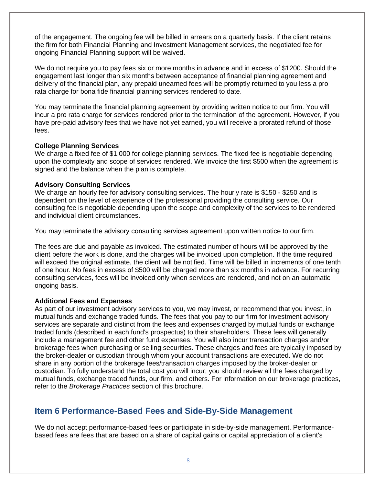of the engagement. The ongoing fee will be billed in arrears on a quarterly basis. If the client retains the firm for both Financial Planning and Investment Management services, the negotiated fee for ongoing Financial Planning support will be waived.

We do not require you to pay fees six or more months in advance and in excess of \$1200. Should the engagement last longer than six months between acceptance of financial planning agreement and delivery of the financial plan, any prepaid unearned fees will be promptly returned to you less a pro rata charge for bona fide financial planning services rendered to date.

You may terminate the financial planning agreement by providing written notice to our firm. You will incur a pro rata charge for services rendered prior to the termination of the agreement. However, if you have pre-paid advisory fees that we have not yet earned, you will receive a prorated refund of those fees.

#### **College Planning Services**

We charge a fixed fee of \$1,000 for college planning services. The fixed fee is negotiable depending upon the complexity and scope of services rendered. We invoice the first \$500 when the agreement is signed and the balance when the plan is complete.

#### **Advisory Consulting Services**

We charge an hourly fee for advisory consulting services. The hourly rate is \$150 - \$250 and is dependent on the level of experience of the professional providing the consulting service. Our consulting fee is negotiable depending upon the scope and complexity of the services to be rendered and individual client circumstances.

You may terminate the advisory consulting services agreement upon written notice to our firm.

The fees are due and payable as invoiced. The estimated number of hours will be approved by the client before the work is done, and the charges will be invoiced upon completion. If the time required will exceed the original estimate, the client will be notified. Time will be billed in increments of one tenth of one hour. No fees in excess of \$500 will be charged more than six months in advance. For recurring consulting services, fees will be invoiced only when services are rendered, and not on an automatic ongoing basis.

#### **Additional Fees and Expenses**

As part of our investment advisory services to you, we may invest, or recommend that you invest, in mutual funds and exchange traded funds. The fees that you pay to our firm for investment advisory services are separate and distinct from the fees and expenses charged by mutual funds or exchange traded funds (described in each fund's prospectus) to their shareholders. These fees will generally include a management fee and other fund expenses. You will also incur transaction charges and/or brokerage fees when purchasing or selling securities. These charges and fees are typically imposed by the broker-dealer or custodian through whom your account transactions are executed. We do not share in any portion of the brokerage fees/transaction charges imposed by the broker-dealer or custodian. To fully understand the total cost you will incur, you should review all the fees charged by mutual funds, exchange traded funds, our firm, and others. For information on our brokerage practices, refer to the *Brokerage Practices* section of this brochure.

### <span id="page-7-0"></span>**Item 6 Performance-Based Fees and Side-By-Side Management**

We do not accept performance-based fees or participate in side-by-side management. Performancebased fees are fees that are based on a share of capital gains or capital appreciation of a client's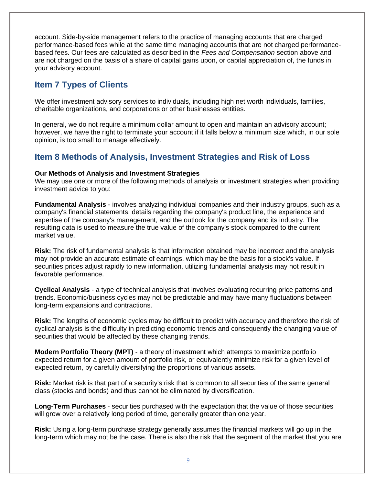account. Side-by-side management refers to the practice of managing accounts that are charged performance-based fees while at the same time managing accounts that are not charged performancebased fees. Our fees are calculated as described in the *Fees and Compensation* section above and are not charged on the basis of a share of capital gains upon, or capital appreciation of, the funds in your advisory account.

### <span id="page-8-0"></span>**Item 7 Types of Clients**

We offer investment advisory services to individuals, including high net worth individuals, families, charitable organizations, and corporations or other businesses entities.

In general, we do not require a minimum dollar amount to open and maintain an advisory account; however, we have the right to terminate your account if it falls below a minimum size which, in our sole opinion, is too small to manage effectively.

### <span id="page-8-1"></span>**Item 8 Methods of Analysis, Investment Strategies and Risk of Loss**

#### **Our Methods of Analysis and Investment Strategies**

We may use one or more of the following methods of analysis or investment strategies when providing investment advice to you:

**Fundamental Analysis** - involves analyzing individual companies and their industry groups, such as a company's financial statements, details regarding the company's product line, the experience and expertise of the company's management, and the outlook for the company and its industry. The resulting data is used to measure the true value of the company's stock compared to the current market value.

**Risk:** The risk of fundamental analysis is that information obtained may be incorrect and the analysis may not provide an accurate estimate of earnings, which may be the basis for a stock's value. If securities prices adjust rapidly to new information, utilizing fundamental analysis may not result in favorable performance.

**Cyclical Analysis** - a type of technical analysis that involves evaluating recurring price patterns and trends. Economic/business cycles may not be predictable and may have many fluctuations between long-term expansions and contractions.

**Risk:** The lengths of economic cycles may be difficult to predict with accuracy and therefore the risk of cyclical analysis is the difficulty in predicting economic trends and consequently the changing value of securities that would be affected by these changing trends.

**Modern Portfolio Theory (MPT)** - a theory of investment which attempts to maximize portfolio expected return for a given amount of portfolio risk, or equivalently minimize risk for a given level of expected return, by carefully diversifying the proportions of various assets.

**Risk:** Market risk is that part of a security's risk that is common to all securities of the same general class (stocks and bonds) and thus cannot be eliminated by diversification.

**Long-Term Purchases** - securities purchased with the expectation that the value of those securities will grow over a relatively long period of time, generally greater than one year.

**Risk:** Using a long-term purchase strategy generally assumes the financial markets will go up in the long-term which may not be the case. There is also the risk that the segment of the market that you are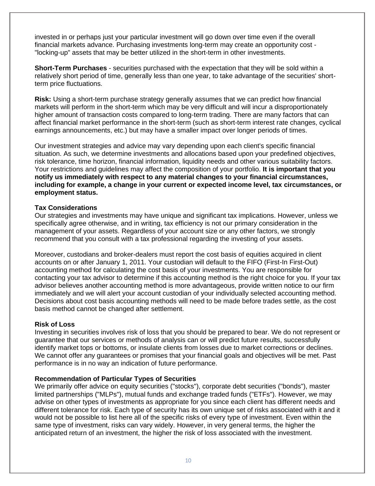invested in or perhaps just your particular investment will go down over time even if the overall financial markets advance. Purchasing investments long-term may create an opportunity cost - "locking-up" assets that may be better utilized in the short-term in other investments.

**Short-Term Purchases** - securities purchased with the expectation that they will be sold within a relatively short period of time, generally less than one year, to take advantage of the securities' shortterm price fluctuations.

**Risk:** Using a short-term purchase strategy generally assumes that we can predict how financial markets will perform in the short-term which may be very difficult and will incur a disproportionately higher amount of transaction costs compared to long-term trading. There are many factors that can affect financial market performance in the short-term (such as short-term interest rate changes, cyclical earnings announcements, etc.) but may have a smaller impact over longer periods of times.

Our investment strategies and advice may vary depending upon each client's specific financial situation. As such, we determine investments and allocations based upon your predefined objectives, risk tolerance, time horizon, financial information, liquidity needs and other various suitability factors. Your restrictions and guidelines may affect the composition of your portfolio. **It is important that you notify us immediately with respect to any material changes to your financial circumstances, including for example, a change in your current or expected income level, tax circumstances, or employment status.**

#### **Tax Considerations**

Our strategies and investments may have unique and significant tax implications. However, unless we specifically agree otherwise, and in writing, tax efficiency is not our primary consideration in the management of your assets. Regardless of your account size or any other factors, we strongly recommend that you consult with a tax professional regarding the investing of your assets.

Moreover, custodians and broker-dealers must report the cost basis of equities acquired in client accounts on or after January 1, 2011. Your custodian will default to the FIFO (First-In First-Out) accounting method for calculating the cost basis of your investments. You are responsible for contacting your tax advisor to determine if this accounting method is the right choice for you. If your tax advisor believes another accounting method is more advantageous, provide written notice to our firm immediately and we will alert your account custodian of your individually selected accounting method. Decisions about cost basis accounting methods will need to be made before trades settle, as the cost basis method cannot be changed after settlement.

#### **Risk of Loss**

Investing in securities involves risk of loss that you should be prepared to bear. We do not represent or guarantee that our services or methods of analysis can or will predict future results, successfully identify market tops or bottoms, or insulate clients from losses due to market corrections or declines. We cannot offer any guarantees or promises that your financial goals and objectives will be met. Past performance is in no way an indication of future performance.

#### **Recommendation of Particular Types of Securities**

We primarily offer advice on equity securities ("stocks"), corporate debt securities ("bonds"), master limited partnerships ("MLPs"), mutual funds and exchange traded funds ("ETFs"). However, we may advise on other types of investments as appropriate for you since each client has different needs and different tolerance for risk. Each type of security has its own unique set of risks associated with it and it would not be possible to list here all of the specific risks of every type of investment. Even within the same type of investment, risks can vary widely. However, in very general terms, the higher the anticipated return of an investment, the higher the risk of loss associated with the investment.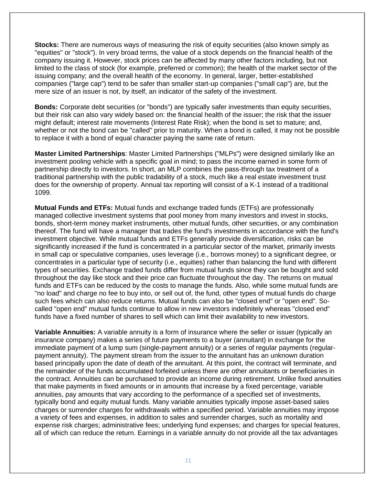**Stocks:** There are numerous ways of measuring the risk of equity securities (also known simply as "equities" or "stock"). In very broad terms, the value of a stock depends on the financial health of the company issuing it. However, stock prices can be affected by many other factors including, but not limited to the class of stock (for example, preferred or common); the health of the market sector of the issuing company; and the overall health of the economy. In general, larger, better-established companies ("large cap") tend to be safer than smaller start-up companies ("small cap") are, but the mere size of an issuer is not, by itself, an indicator of the safety of the investment.

**Bonds:** Corporate debt securities (or "bonds") are typically safer investments than equity securities, but their risk can also vary widely based on: the financial health of the issuer; the risk that the issuer might default; interest rate movements (Interest Rate Risk); when the bond is set to mature; and, whether or not the bond can be "called" prior to maturity. When a bond is called, it may not be possible to replace it with a bond of equal character paying the same rate of return.

**Master Limited Partnerships**: Master Limited Partnerships ("MLPs") were designed similarly like an investment pooling vehicle with a specific goal in mind; to pass the income earned in some form of partnership directly to investors. In short, an MLP combines the pass-through tax treatment of a traditional partnership with the public tradability of a stock, much like a real estate investment trust does for the ownership of property. Annual tax reporting will consist of a K-1 instead of a traditional 1099.

**Mutual Funds and ETFs:** Mutual funds and exchange traded funds (ETFs) are professionally managed collective investment systems that pool money from many investors and invest in stocks, bonds, short-term money market instruments, other mutual funds, other securities, or any combination thereof. The fund will have a manager that trades the fund's investments in accordance with the fund's investment objective. While mutual funds and ETFs generally provide diversification, risks can be significantly increased if the fund is concentrated in a particular sector of the market, primarily invests in small cap or speculative companies, uses leverage (i.e., borrows money) to a significant degree, or concentrates in a particular type of security (i.e., equities) rather than balancing the fund with different types of securities. Exchange traded funds differ from mutual funds since they can be bought and sold throughout the day like stock and their price can fluctuate throughout the day. The returns on mutual funds and ETFs can be reduced by the costs to manage the funds. Also, while some mutual funds are "no load" and charge no fee to buy into, or sell out of, the fund, other types of mutual funds do charge such fees which can also reduce returns. Mutual funds can also be "closed end" or "open end". Socalled "open end" mutual funds continue to allow in new investors indefinitely whereas "closed end" funds have a fixed number of shares to sell which can limit their availability to new investors.

**Variable Annuities:** A variable annuity is a form of insurance where the seller or issuer (typically an insurance company) makes a series of future payments to a buyer (annuitant) in exchange for the immediate payment of a lump sum (single-payment annuity) or a series of regular payments (regularpayment annuity). The payment stream from the issuer to the annuitant has an unknown duration based principally upon the date of death of the annuitant. At this point, the contract will terminate, and the remainder of the funds accumulated forfeited unless there are other annuitants or beneficiaries in the contract. Annuities can be purchased to provide an income during retirement. Unlike fixed annuities that make payments in fixed amounts or in amounts that increase by a fixed percentage, variable annuities, pay amounts that vary according to the performance of a specified set of investments, typically bond and equity mutual funds. Many variable annuities typically impose asset-based sales charges or surrender charges for withdrawals within a specified period. Variable annuities may impose a variety of fees and expenses, in addition to sales and surrender charges, such as mortality and expense risk charges; administrative fees; underlying fund expenses; and charges for special features, all of which can reduce the return. Earnings in a variable annuity do not provide all the tax advantages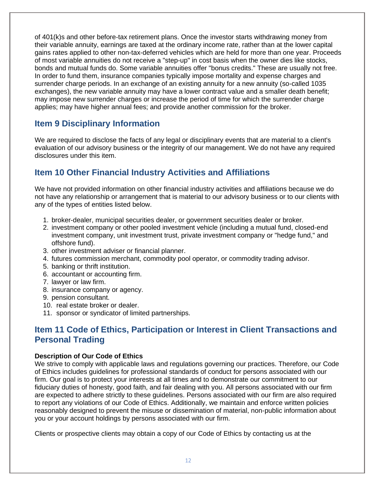of 401(k)s and other before-tax retirement plans. Once the investor starts withdrawing money from their variable annuity, earnings are taxed at the ordinary income rate, rather than at the lower capital gains rates applied to other non-tax-deferred vehicles which are held for more than one year. Proceeds of most variable annuities do not receive a "step-up" in cost basis when the owner dies like stocks, bonds and mutual funds do. Some variable annuities offer "bonus credits." These are usually not free. In order to fund them, insurance companies typically impose mortality and expense charges and surrender charge periods. In an exchange of an existing annuity for a new annuity (so-called 1035 exchanges), the new variable annuity may have a lower contract value and a smaller death benefit; may impose new surrender charges or increase the period of time for which the surrender charge applies; may have higher annual fees; and provide another commission for the broker.

### <span id="page-11-0"></span>**Item 9 Disciplinary Information**

We are required to disclose the facts of any legal or disciplinary events that are material to a client's evaluation of our advisory business or the integrity of our management. We do not have any required disclosures under this item.

### <span id="page-11-1"></span>**Item 10 Other Financial Industry Activities and Affiliations**

We have not provided information on other financial industry activities and affiliations because we do not have any relationship or arrangement that is material to our advisory business or to our clients with any of the types of entities listed below.

- 1. broker-dealer, municipal securities dealer, or government securities dealer or broker.
- 2. investment company or other pooled investment vehicle (including a mutual fund, closed-end investment company, unit investment trust, private investment company or "hedge fund," and offshore fund).
- 3. other investment adviser or financial planner.
- 4. futures commission merchant, commodity pool operator, or commodity trading advisor.
- 5. banking or thrift institution.
- 6. accountant or accounting firm.
- 7. lawyer or law firm.
- 8. insurance company or agency.
- 9. pension consultant.
- 10. real estate broker or dealer.
- 11. sponsor or syndicator of limited partnerships.

### <span id="page-11-2"></span>**Item 11 Code of Ethics, Participation or Interest in Client Transactions and Personal Trading**

#### **Description of Our Code of Ethics**

We strive to comply with applicable laws and regulations governing our practices. Therefore, our Code of Ethics includes guidelines for professional standards of conduct for persons associated with our firm. Our goal is to protect your interests at all times and to demonstrate our commitment to our fiduciary duties of honesty, good faith, and fair dealing with you. All persons associated with our firm are expected to adhere strictly to these guidelines. Persons associated with our firm are also required to report any violations of our Code of Ethics. Additionally, we maintain and enforce written policies reasonably designed to prevent the misuse or dissemination of material, non-public information about you or your account holdings by persons associated with our firm.

Clients or prospective clients may obtain a copy of our Code of Ethics by contacting us at the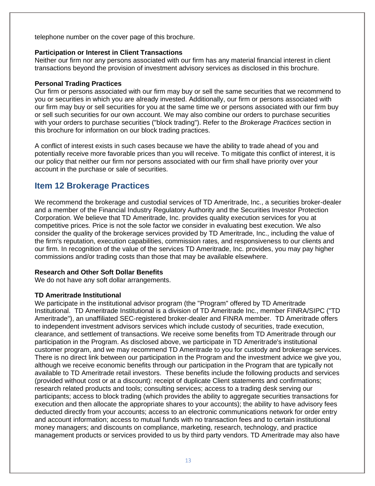telephone number on the cover page of this brochure.

#### **Participation or Interest in Client Transactions**

Neither our firm nor any persons associated with our firm has any material financial interest in client transactions beyond the provision of investment advisory services as disclosed in this brochure.

#### **Personal Trading Practices**

Our firm or persons associated with our firm may buy or sell the same securities that we recommend to you or securities in which you are already invested. Additionally, our firm or persons associated with our firm may buy or sell securities for you at the same time we or persons associated with our firm buy or sell such securities for our own account. We may also combine our orders to purchase securities with your orders to purchase securities ("block trading"). Refer to the *Brokerage Practices* section in this brochure for information on our block trading practices.

A conflict of interest exists in such cases because we have the ability to trade ahead of you and potentially receive more favorable prices than you will receive. To mitigate this conflict of interest, it is our policy that neither our firm nor persons associated with our firm shall have priority over your account in the purchase or sale of securities.

### <span id="page-12-0"></span>**Item 12 Brokerage Practices**

We recommend the brokerage and custodial services of TD Ameritrade, Inc., a securities broker-dealer and a member of the Financial Industry Regulatory Authority and the Securities Investor Protection Corporation. We believe that TD Ameritrade, Inc. provides quality execution services for you at competitive prices. Price is not the sole factor we consider in evaluating best execution. We also consider the quality of the brokerage services provided by TD Ameritrade, Inc., including the value of the firm's reputation, execution capabilities, commission rates, and responsiveness to our clients and our firm. In recognition of the value of the services TD Ameritrade, Inc. provides, you may pay higher commissions and/or trading costs than those that may be available elsewhere.

#### **Research and Other Soft Dollar Benefits**

We do not have any soft dollar arrangements.

#### **TD Ameritrade Institutional**

We participate in the institutional advisor program (the "Program" offered by TD Ameritrade Institutional. TD Ameritrade Institutional is a division of TD Ameritrade Inc., member FINRA/SIPC ("TD Ameritrade"), an unaffiliated SEC-registered broker-dealer and FINRA member. TD Ameritrade offers to independent investment advisors services which include custody of securities, trade execution, clearance, and settlement of transactions. We receive some benefits from TD Ameritrade through our participation in the Program. As disclosed above, we participate in TD Ameritrade's institutional customer program, and we may recommend TD Ameritrade to you for custody and brokerage services. There is no direct link between our participation in the Program and the investment advice we give you, although we receive economic benefits through our participation in the Program that are typically not available to TD Ameritrade retail investors. These benefits include the following products and services (provided without cost or at a discount): receipt of duplicate Client statements and confirmations; research related products and tools; consulting services; access to a trading desk serving our participants; access to block trading (which provides the ability to aggregate securities transactions for execution and then allocate the appropriate shares to your accounts); the ability to have advisory fees deducted directly from your accounts; access to an electronic communications network for order entry and account information; access to mutual funds with no transaction fees and to certain institutional money managers; and discounts on compliance, marketing, research, technology, and practice management products or services provided to us by third party vendors. TD Ameritrade may also have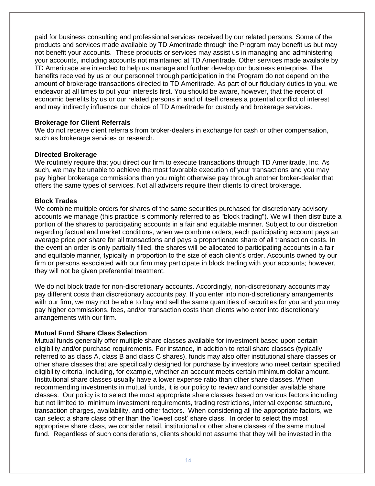paid for business consulting and professional services received by our related persons. Some of the products and services made available by TD Ameritrade through the Program may benefit us but may not benefit your accounts. These products or services may assist us in managing and administering your accounts, including accounts not maintained at TD Ameritrade. Other services made available by TD Ameritrade are intended to help us manage and further develop our business enterprise. The benefits received by us or our personnel through participation in the Program do not depend on the amount of brokerage transactions directed to TD Ameritrade. As part of our fiduciary duties to you, we endeavor at all times to put your interests first. You should be aware, however, that the receipt of economic benefits by us or our related persons in and of itself creates a potential conflict of interest and may indirectly influence our choice of TD Ameritrade for custody and brokerage services.

#### **Brokerage for Client Referrals**

We do not receive client referrals from broker-dealers in exchange for cash or other compensation, such as brokerage services or research.

#### **Directed Brokerage**

We routinely require that you direct our firm to execute transactions through TD Ameritrade, Inc. As such, we may be unable to achieve the most favorable execution of your transactions and you may pay higher brokerage commissions than you might otherwise pay through another broker-dealer that offers the same types of services. Not all advisers require their clients to direct brokerage.

#### **Block Trades**

We combine multiple orders for shares of the same securities purchased for discretionary advisory accounts we manage (this practice is commonly referred to as "block trading"). We will then distribute a portion of the shares to participating accounts in a fair and equitable manner. Subject to our discretion regarding factual and market conditions, when we combine orders, each participating account pays an average price per share for all transactions and pays a proportionate share of all transaction costs. In the event an order is only partially filled, the shares will be allocated to participating accounts in a fair and equitable manner, typically in proportion to the size of each client's order. Accounts owned by our firm or persons associated with our firm may participate in block trading with your accounts; however, they will not be given preferential treatment.

We do not block trade for non-discretionary accounts. Accordingly, non-discretionary accounts may pay different costs than discretionary accounts pay. If you enter into non-discretionary arrangements with our firm, we may not be able to buy and sell the same quantities of securities for you and you may pay higher commissions, fees, and/or transaction costs than clients who enter into discretionary arrangements with our firm.

#### **Mutual Fund Share Class Selection**

Mutual funds generally offer multiple share classes available for investment based upon certain eligibility and/or purchase requirements. For instance, in addition to retail share classes (typically referred to as class A, class B and class C shares), funds may also offer institutional share classes or other share classes that are specifically designed for purchase by investors who meet certain specified eligibility criteria, including, for example, whether an account meets certain minimum dollar amount. Institutional share classes usually have a lower expense ratio than other share classes. When recommending investments in mutual funds, it is our policy to review and consider available share classes. Our policy is to select the most appropriate share classes based on various factors including but not limited to: minimum investment requirements, trading restrictions, internal expense structure, transaction charges, availability, and other factors. When considering all the appropriate factors, we can select a share class other than the 'lowest cost' share class. In order to select the most appropriate share class, we consider retail, institutional or other share classes of the same mutual fund. Regardless of such considerations, clients should not assume that they will be invested in the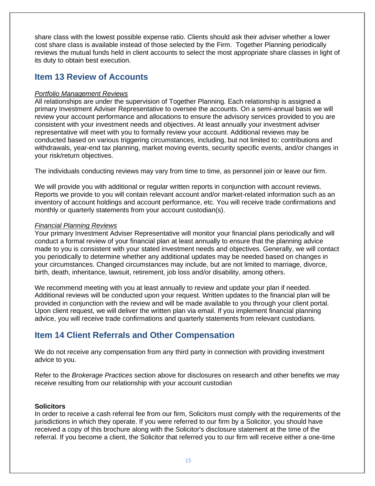share class with the lowest possible expense ratio. Clients should ask their adviser whether a lower cost share class is available instead of those selected by the Firm. Together Planning periodically reviews the mutual funds held in client accounts to select the most appropriate share classes in light of its duty to obtain best execution.

### <span id="page-14-0"></span>**Item 13 Review of Accounts**

#### *Portfolio Management Reviews*

All relationships are under the supervision of Together Planning. Each relationship is assigned a primary Investment Adviser Representative to oversee the accounts. On a semi-annual basis we will review your account performance and allocations to ensure the advisory services provided to you are consistent with your investment needs and objectives. At least annually your investment adviser representative will meet with you to formally review your account. Additional reviews may be conducted based on various triggering circumstances, including, but not limited to: contributions and withdrawals, year-end tax planning, market moving events, security specific events, and/or changes in your risk/return objectives.

The individuals conducting reviews may vary from time to time, as personnel join or leave our firm.

We will provide you with additional or regular written reports in conjunction with account reviews. Reports we provide to you will contain relevant account and/or market-related information such as an inventory of account holdings and account performance, etc. You will receive trade confirmations and monthly or quarterly statements from your account custodian(s).

#### *Financial Planning Reviews*

Your primary Investment Adviser Representative will monitor your financial plans periodically and will conduct a formal review of your financial plan at least annually to ensure that the planning advice made to you is consistent with your stated investment needs and objectives. Generally, we will contact you periodically to determine whether any additional updates may be needed based on changes in your circumstances. Changed circumstances may include, but are not limited to marriage, divorce, birth, death, inheritance, lawsuit, retirement, job loss and/or disability, among others.

We recommend meeting with you at least annually to review and update your plan if needed. Additional reviews will be conducted upon your request. Written updates to the financial plan will be provided in conjunction with the review and will be made available to you through your client portal. Upon client request, we will deliver the written plan via email. If you implement financial planning advice, you will receive trade confirmations and quarterly statements from relevant custodians.

### <span id="page-14-1"></span>**Item 14 Client Referrals and Other Compensation**

We do not receive any compensation from any third party in connection with providing investment advice to you.

Refer to the *Brokerage Practices* section above for disclosures on research and other benefits we may receive resulting from our relationship with your account custodian

#### **Solicitors**

In order to receive a cash referral fee from our firm, Solicitors must comply with the requirements of the jurisdictions in which they operate. If you were referred to our firm by a Solicitor, you should have received a copy of this brochure along with the Solicitor's disclosure statement at the time of the referral. If you become a client, the Solicitor that referred you to our firm will receive either a one-time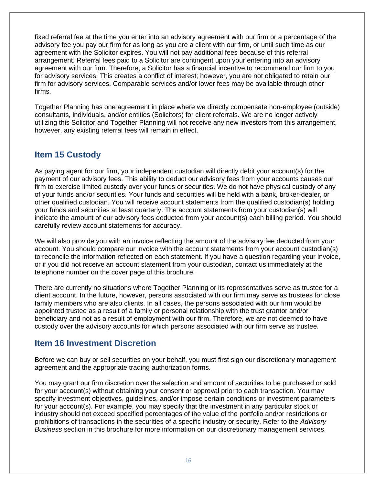fixed referral fee at the time you enter into an advisory agreement with our firm or a percentage of the advisory fee you pay our firm for as long as you are a client with our firm, or until such time as our agreement with the Solicitor expires. You will not pay additional fees because of this referral arrangement. Referral fees paid to a Solicitor are contingent upon your entering into an advisory agreement with our firm. Therefore, a Solicitor has a financial incentive to recommend our firm to you for advisory services. This creates a conflict of interest; however, you are not obligated to retain our firm for advisory services. Comparable services and/or lower fees may be available through other firms.

Together Planning has one agreement in place where we directly compensate non-employee (outside) consultants, individuals, and/or entities (Solicitors) for client referrals. We are no longer actively utilizing this Solicitor and Together Planning will not receive any new investors from this arrangement, however, any existing referral fees will remain in effect.

### <span id="page-15-0"></span>**Item 15 Custody**

As paying agent for our firm, your independent custodian will directly debit your account(s) for the payment of our advisory fees. This ability to deduct our advisory fees from your accounts causes our firm to exercise limited custody over your funds or securities. We do not have physical custody of any of your funds and/or securities. Your funds and securities will be held with a bank, broker-dealer, or other qualified custodian. You will receive account statements from the qualified custodian(s) holding your funds and securities at least quarterly. The account statements from your custodian(s) will indicate the amount of our advisory fees deducted from your account(s) each billing period. You should carefully review account statements for accuracy.

We will also provide you with an invoice reflecting the amount of the advisory fee deducted from your account. You should compare our invoice with the account statements from your account custodian(s) to reconcile the information reflected on each statement. If you have a question regarding your invoice, or if you did not receive an account statement from your custodian, contact us immediately at the telephone number on the cover page of this brochure.

There are currently no situations where Together Planning or its representatives serve as trustee for a client account. In the future, however, persons associated with our firm may serve as trustees for close family members who are also clients. In all cases, the persons associated with our firm would be appointed trustee as a result of a family or personal relationship with the trust grantor and/or beneficiary and not as a result of employment with our firm. Therefore, we are not deemed to have custody over the advisory accounts for which persons associated with our firm serve as trustee.

### <span id="page-15-1"></span>**Item 16 Investment Discretion**

Before we can buy or sell securities on your behalf, you must first sign our discretionary management agreement and the appropriate trading authorization forms.

You may grant our firm discretion over the selection and amount of securities to be purchased or sold for your account(s) without obtaining your consent or approval prior to each transaction. You may specify investment objectives, guidelines, and/or impose certain conditions or investment parameters for your account(s). For example, you may specify that the investment in any particular stock or industry should not exceed specified percentages of the value of the portfolio and/or restrictions or prohibitions of transactions in the securities of a specific industry or security. Refer to the *Advisory Business* section in this brochure for more information on our discretionary management services.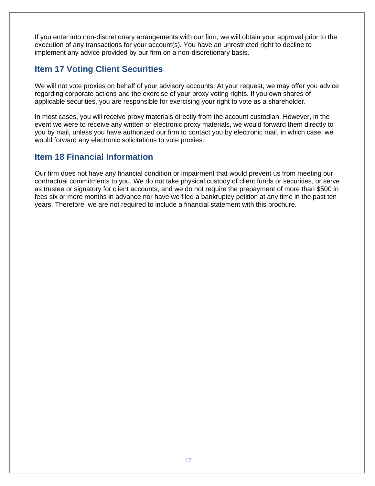If you enter into non-discretionary arrangements with our firm, we will obtain your approval prior to the execution of any transactions for your account(s). You have an unrestricted right to decline to implement any advice provided by our firm on a non-discretionary basis.

### <span id="page-16-0"></span>**Item 17 Voting Client Securities**

We will not vote proxies on behalf of your advisory accounts. At your request, we may offer you advice regarding corporate actions and the exercise of your proxy voting rights. If you own shares of applicable securities, you are responsible for exercising your right to vote as a shareholder.

In most cases, you will receive proxy materials directly from the account custodian. However, in the event we were to receive any written or electronic proxy materials, we would forward them directly to you by mail, unless you have authorized our firm to contact you by electronic mail, in which case, we would forward any electronic solicitations to vote proxies.

### <span id="page-16-1"></span>**Item 18 Financial Information**

Our firm does not have any financial condition or impairment that would prevent us from meeting our contractual commitments to you. We do not take physical custody of client funds or securities, or serve as trustee or signatory for client accounts, and we do not require the prepayment of more than \$500 in fees six or more months in advance nor have we filed a bankruptcy petition at any time in the past ten years. Therefore, we are not required to include a financial statement with this brochure.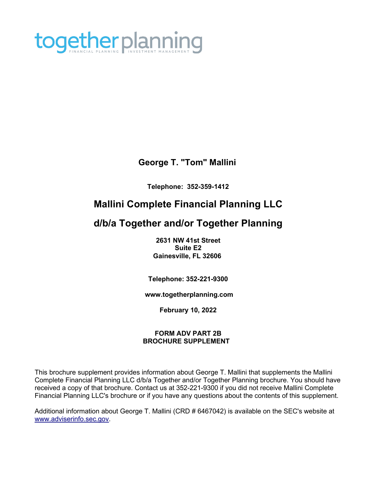

### **George T. "Tom" Mallini**

**Telephone: 352-359-1412**

# **Mallini Complete Financial Planning LLC**

# **d/b/a Together and/or Together Planning**

**2631 NW 41st Street Suite E2 Gainesville, FL 32606**

**Telephone: 352-221-9300**

**[www.togetherplanning.com](http://www.togetherplanning.com/)**

**February 10, 2022**

#### **FORM ADV PART 2B BROCHURE SUPPLEMENT**

This brochure supplement provides information about George T. Mallini that supplements the Mallini Complete Financial Planning LLC d/b/a Together and/or Together Planning brochure. You should have received a copy of that brochure. Contact us at 352-221-9300 if you did not receive Mallini Complete Financial Planning LLC's brochure or if you have any questions about the contents of this supplement.

Additional information about George T. Mallini (CRD # 6467042) is available on the SEC's website at [www.adviserinfo.sec.gov.](http://www.adviserinfo.sec.gov/)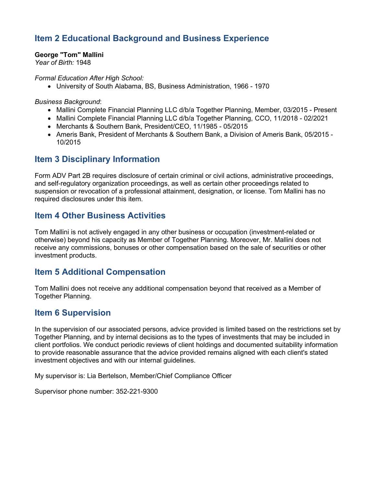### **Item 2 Educational Background and Business Experience**

**George "Tom" Mallini**

*Year of Birth:* 1948

*Formal Education After High School:*

• University of South Alabama, BS, Business Administration, 1966 - 1970

*Business Background*:

- Mallini Complete Financial Planning LLC d/b/a Together Planning, Member, 03/2015 Present
- Mallini Complete Financial Planning LLC d/b/a Together Planning, CCO, 11/2018 02/2021
- Merchants & Southern Bank, President/CEO, 11/1985 05/2015
- Ameris Bank, President of Merchants & Southern Bank, a Division of Ameris Bank, 05/2015 10/2015

### **Item 3 Disciplinary Information**

Form ADV Part 2B requires disclosure of certain criminal or civil actions, administrative proceedings, and self-regulatory organization proceedings, as well as certain other proceedings related to suspension or revocation of a professional attainment, designation, or license. Tom Mallini has no required disclosures under this item.

### **Item 4 Other Business Activities**

Tom Mallini is not actively engaged in any other business or occupation (investment-related or otherwise) beyond his capacity as Member of Together Planning. Moreover, Mr. Mallini does not receive any commissions, bonuses or other compensation based on the sale of securities or other investment products.

### **Item 5 Additional Compensation**

Tom Mallini does not receive any additional compensation beyond that received as a Member of Together Planning.

### **Item 6 Supervision**

In the supervision of our associated persons, advice provided is limited based on the restrictions set by Together Planning, and by internal decisions as to the types of investments that may be included in client portfolios. We conduct periodic reviews of client holdings and documented suitability information to provide reasonable assurance that the advice provided remains aligned with each client's stated investment objectives and with our internal guidelines.

My supervisor is: Lia Bertelson, Member/Chief Compliance Officer

Supervisor phone number: 352-221-9300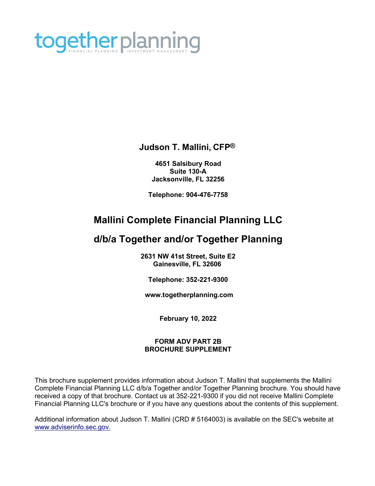

### **Judson T. Mallini, CFP®**

**4651 Salsibury Road Suite 130-A Jacksonville, FL 32256**

**Telephone: 904-476-7758**

# **Mallini Complete Financial Planning LLC**

# **d/b/a Together and/or Together Planning**

**2631 NW 41st Street, Suite E2 Gainesville, FL 32606**

**Telephone: 352-221-9300**

**[www.togetherplanning.com](http://www.togetherplanning.com/)**

**February 10, 2022**

#### **FORM ADV PART 2B BROCHURE SUPPLEMENT**

This brochure supplement provides information about Judson T. Mallini that supplements the Mallini Complete Financial Planning LLC d/b/a Together and/or Together Planning brochure. You should have received a copy of that brochure. Contact us at 352-221-9300 if you did not receive Mallini Complete Financial Planning LLC's brochure or if you have any questions about the contents of this supplement.

Additional information about Judson T. Mallini (CRD # 5164003) is available on the SEC's website at [www.adviserinfo.sec.gov.](http://www.adviserinfo.sec.gov./)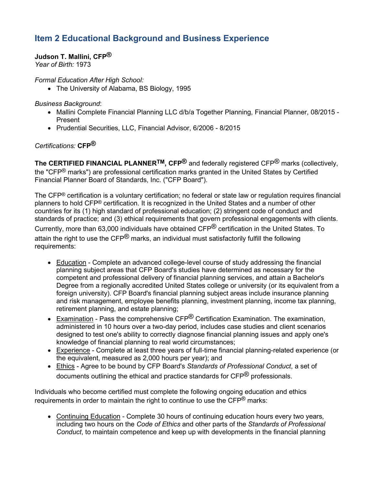## **Item 2 Educational Background and Business Experience**

#### **Judson T. Mallini, CFP®**

*Year of Birth:* 1973

*Formal Education After High School:*

• The University of Alabama, BS Biology, 1995

*Business Background*:

- Mallini Complete Financial Planning LLC d/b/a Together Planning, Financial Planner, 08/2015 Present
- Prudential Securities, LLC, Financial Advisor, 6/2006 8/2015

### *Certifications:* **CFP®**

**The CERTIFIED FINANCIAL PLANNERTM, CFP®** and federally registered CFP® marks (collectively, the "CFP<sup>®</sup> marks") are professional certification marks granted in the United States by Certified Financial Planner Board of Standards, Inc. ("CFP Board").

The CFP® certification is a voluntary certification; no federal or state law or regulation requires financial planners to hold CFP® certification. It is recognized in the United States and a number of other countries for its (1) high standard of professional education; (2) stringent code of conduct and standards of practice; and (3) ethical requirements that govern professional engagements with clients.

Currently, more than 63,000 individuals have obtained CFP® certification in the United States. To

attain the right to use the CFP<sup>®</sup> marks, an individual must satisfactorily fulfill the following requirements:

- Education Complete an advanced college-level course of study addressing the financial planning subject areas that CFP Board's studies have determined as necessary for the competent and professional delivery of financial planning services, and attain a Bachelor's Degree from a regionally accredited United States college or university (or its equivalent from a foreign university). CFP Board's financial planning subject areas include insurance planning and risk management, employee benefits planning, investment planning, income tax planning, retirement planning, and estate planning;
- Examination Pass the comprehensive CFP $^{\circledR}$  Certification Examination. The examination, administered in 10 hours over a two-day period, includes case studies and client scenarios designed to test one's ability to correctly diagnose financial planning issues and apply one's knowledge of financial planning to real world circumstances;
- Experience Complete at least three years of full-time financial planning-related experience (or the equivalent, measured as 2,000 hours per year); and
- Ethics Agree to be bound by CFP Board's *Standards of Professional Conduct*, a set of documents outlining the ethical and practice standards for CFP<sup>®</sup> professionals.

Individuals who become certified must complete the following ongoing education and ethics requirements in order to maintain the right to continue to use the  $\text{CFP}^{\textcircled{e}}$  marks:

• Continuing Education - Complete 30 hours of continuing education hours every two vears, including two hours on the *Code of Ethics* and other parts of the *Standards of Professional Conduct*, to maintain competence and keep up with developments in the financial planning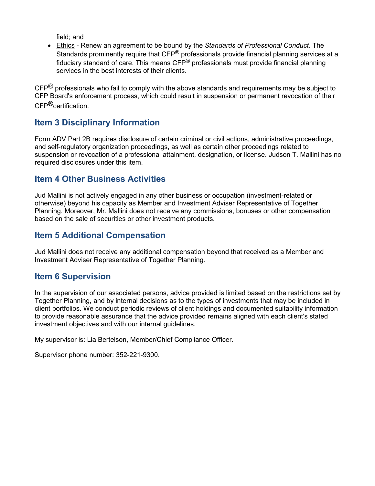field; and

• Ethics - Renew an agreement to be bound by the *Standards of Professional Conduct*. The Standards prominently require that CFP<sup>®</sup> professionals provide financial planning services at a fiduciary standard of care. This means  $\text{CFP}^{\textcircled{D}}$  professionals must provide financial planning services in the best interests of their clients.

 $CFP^®$  professionals who fail to comply with the above standards and requirements may be subject to CFP Board's enforcement process, which could result in suspension or permanent revocation of their CFP®certification.

### **Item 3 Disciplinary Information**

Form ADV Part 2B requires disclosure of certain criminal or civil actions, administrative proceedings, and self-regulatory organization proceedings, as well as certain other proceedings related to suspension or revocation of a professional attainment, designation, or license. Judson T. Mallini has no required disclosures under this item.

### **Item 4 Other Business Activities**

Jud Mallini is not actively engaged in any other business or occupation (investment-related or otherwise) beyond his capacity as Member and Investment Adviser Representative of Together Planning. Moreover, Mr. Mallini does not receive any commissions, bonuses or other compensation based on the sale of securities or other investment products.

### **Item 5 Additional Compensation**

Jud Mallini does not receive any additional compensation beyond that received as a Member and Investment Adviser Representative of Together Planning.

### **Item 6 Supervision**

In the supervision of our associated persons, advice provided is limited based on the restrictions set by Together Planning, and by internal decisions as to the types of investments that may be included in client portfolios. We conduct periodic reviews of client holdings and documented suitability information to provide reasonable assurance that the advice provided remains aligned with each client's stated investment objectives and with our internal guidelines.

My supervisor is: Lia Bertelson, Member/Chief Compliance Officer.

Supervisor phone number: 352-221-9300.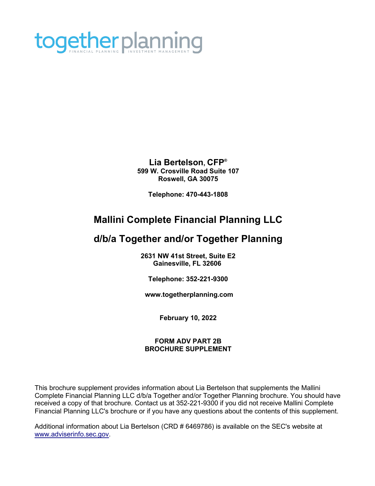

**Lia Bertelson, CFP® 599 W. Crosville Road Suite 107 Roswell, GA 30075** 

**Telephone: 470-443-1808**

# **Mallini Complete Financial Planning LLC**

# **d/b/a Together and/or Together Planning**

**2631 NW 41st Street, Suite E2 Gainesville, FL 32606**

**Telephone: 352-221-9300**

**[www.togetherplanning.com](http://www.togetherplanning.com/)**

**February 10, 2022**

#### **FORM ADV PART 2B BROCHURE SUPPLEMENT**

This brochure supplement provides information about Lia Bertelson that supplements the Mallini Complete Financial Planning LLC d/b/a Together and/or Together Planning brochure. You should have received a copy of that brochure. Contact us at 352-221-9300 if you did not receive Mallini Complete Financial Planning LLC's brochure or if you have any questions about the contents of this supplement.

Additional information about Lia Bertelson (CRD # 6469786) is available on the SEC's website at [www.adviserinfo.sec.gov.](http://www.adviserinfo.sec.gov/)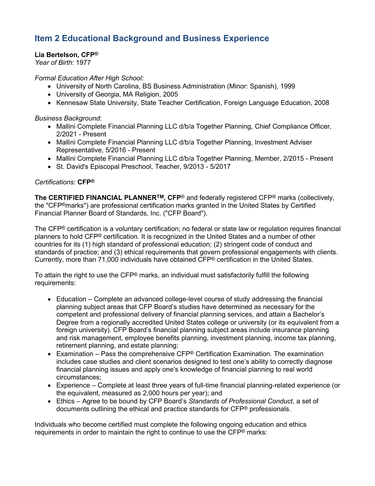## **Item 2 Educational Background and Business Experience**

#### **Lia Bertelson, CFP®**

*Year of Birth:* 1977

*Formal Education After High School:*

- University of North Carolina, BS Business Administration (Minor: Spanish), 1999
- University of Georgia, MA Religion, 2005
- Kennesaw State University, State Teacher Certification, Foreign Language Education, 2008

*Business Background*:

- Mallini Complete Financial Planning LLC d/b/a Together Planning, Chief Compliance Officer, 2/2021 - Present
- Mallini Complete Financial Planning LLC d/b/a Together Planning, Investment Adviser Representative, 5/2016 - Present
- Mallini Complete Financial Planning LLC d/b/a Together Planning, Member, 2/2015 Present
- St. David's Episcopal Preschool, Teacher, 9/2013 5/2017

#### *Certifications:* **CFP®**

**The CERTIFIED FINANCIAL PLANNERTM, CFP**® and federally registered CFP® marks (collectively, the "CFP®marks") are professional certification marks granted in the United States by Certified Financial Planner Board of Standards, Inc. ("CFP Board").

The CFP® certification is a voluntary certification; no federal or state law or regulation requires financial planners to hold CFP® certification. It is recognized in the United States and a number of other countries for its (1) high standard of professional education; (2) stringent code of conduct and standards of practice; and (3) ethical requirements that govern professional engagements with clients. Currently, more than 71,000 individuals have obtained CFP® certification in the United States.

To attain the right to use the CFP® marks, an individual must satisfactorily fulfill the following requirements:

- Education Complete an advanced college-level course of study addressing the financial planning subject areas that CFP Board's studies have determined as necessary for the competent and professional delivery of financial planning services, and attain a Bachelor's Degree from a regionally accredited United States college or university (or its equivalent from a foreign university). CFP Board's financial planning subject areas include insurance planning and risk management, employee benefits planning, investment planning, income tax planning, retirement planning, and estate planning;
- Examination Pass the comprehensive  $CFP^{\odot}$  Certification Examination. The examination includes case studies and client scenarios designed to test one's ability to correctly diagnose financial planning issues and apply one's knowledge of financial planning to real world circumstances;
- Experience Complete at least three years of full-time financial planning-related experience (or the equivalent, measured as 2,000 hours per year); and
- Ethics Agree to be bound by CFP Board's *Standards of Professional Conduct*, a set of documents outlining the ethical and practice standards for CFP® professionals.

Individuals who become certified must complete the following ongoing education and ethics requirements in order to maintain the right to continue to use the  $\text{CFP}^{\textcircled{e}}$  marks: